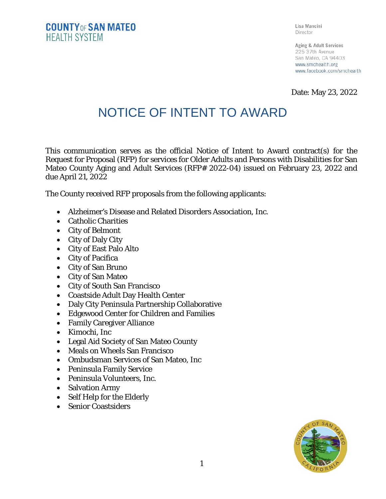Lisa Mancini Director

Aging & Adult Services 225 37th Avenue San Mateo, CA 94403 www.smchealth.org www.facebook.com/smchealth

Date: May 23, 2022

## NOTICE OF INTENT TO AWARD

This communication serves as the official Notice of Intent to Award contract(s) for the Request for Proposal (RFP) for services for Older Adults and Persons with Disabilities for San Mateo County Aging and Adult Services (RFP# 2022-04) issued on February 23, 2022 and due April 21, 2022

The County received RFP proposals from the following applicants:

- Alzheimer's Disease and Related Disorders Association, Inc.
- Catholic Charities
- City of Belmont
- City of Daly City
- City of East Palo Alto
- City of Pacifica
- City of San Bruno
- City of San Mateo
- City of South San Francisco
- Coastside Adult Day Health Center
- Daly City Peninsula Partnership Collaborative
- Edgewood Center for Children and Families
- Family Caregiver Alliance
- Kimochi, Inc
- Legal Aid Society of San Mateo County
- Meals on Wheels San Francisco
- Ombudsman Services of San Mateo, Inc
- Peninsula Family Service
- Peninsula Volunteers, Inc.
- Salvation Army
- Self Help for the Elderly
- Senior Coastsiders

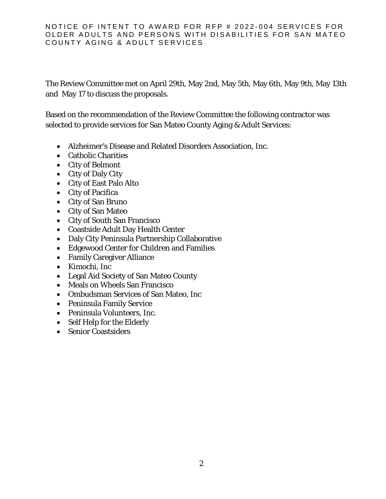## NOTICE OF INTENT TO AWARD FOR RFP # 2022-004 SERVICES FOR OLDER ADULTS AND PERSONS WITH DISABILITIES FOR SAN MATEO COUNTY AGING & ADULT SERVICES

The Review Committee met on April 29th, May 2nd, May 5th, May 6th, May 9th, May 13th and May 17 to discuss the proposals.

Based on the recommendation of the Review Committee the following contractor was selected to provide services for San Mateo County Aging & Adult Services:

- Alzheimer's Disease and Related Disorders Association, Inc.
- Catholic Charities
- City of Belmont
- City of Daly City
- City of East Palo Alto
- City of Pacifica
- City of San Bruno
- City of San Mateo
- City of South San Francisco
- Coastside Adult Day Health Center
- Daly City Peninsula Partnership Collaborative
- Edgewood Center for Children and Families
- Family Caregiver Alliance
- Kimochi, Inc
- Legal Aid Society of San Mateo County
- Meals on Wheels San Francisco
- Ombudsman Services of San Mateo, Inc
- Peninsula Family Service
- Peninsula Volunteers, Inc.
- Self Help for the Elderly
- Senior Coastsiders